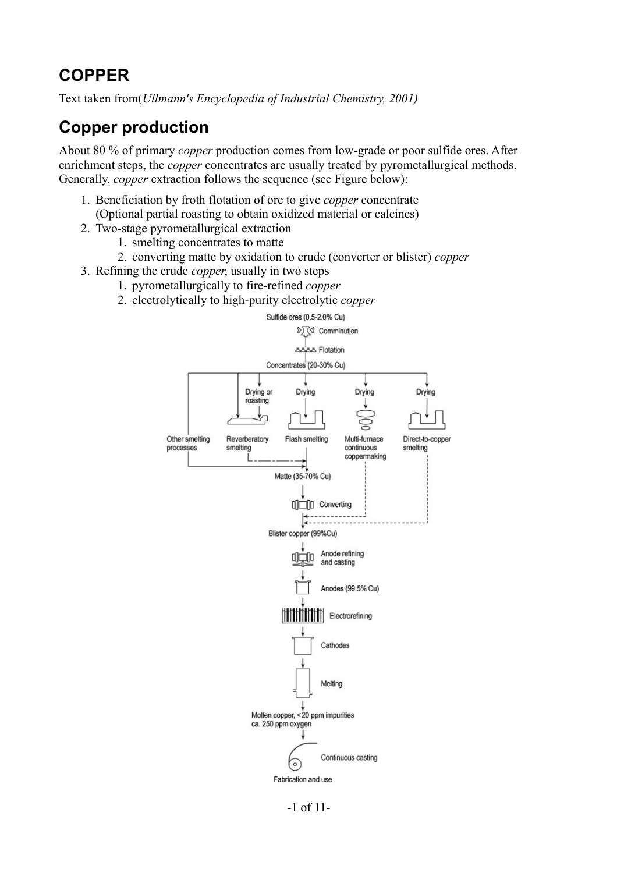# **COPPER**

Text taken from(*Ullmann's Encyclopedia of Industrial Chemistry, 2001)*

# **Copper production**

About 80 % of primary *copper* production comes from low-grade or poor sulfide ores. After enrichment steps, the *copper* concentrates are usually treated by pyrometallurgical methods. Generally, *copper* extraction follows the sequence (see Figure below):

- 1. Beneficiation by froth flotation of ore to give *copper* concentrate (Optional partial roasting to obtain oxidized material or calcines)
- 2. Two-stage pyrometallurgical extraction
	- 1. smelting concentrates to matte
	- 2. converting matte by oxidation to crude (converter or blister) *copper*
- 3. Refining the crude *copper*, usually in two steps
	- 1. pyrometallurgically to fire-refined *copper*
		- 2. electrolytically to high-purity electrolytic *copper*



-1 of 11-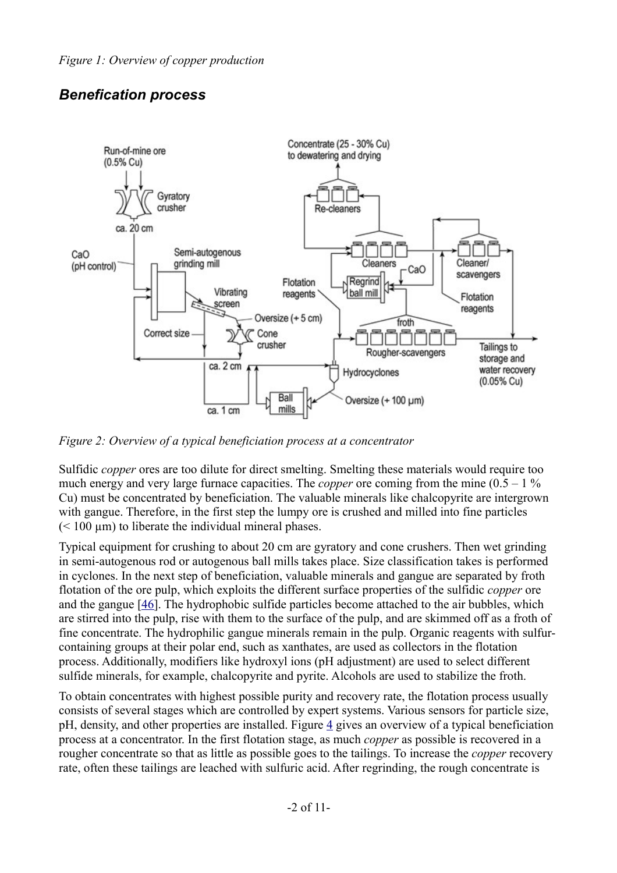## *Benefication process*



*Figure 2: Overview of a typical beneficiation process at a concentrator*

Sulfidic *copper* ores are too dilute for direct smelting. Smelting these materials would require too much energy and very large furnace capacities. The *copper* ore coming from the mine  $(0.5 - 1\%$ Cu) must be concentrated by beneficiation. The valuable minerals like chalcopyrite are intergrown with gangue. Therefore, in the first step the lumpy ore is crushed and milled into fine particles  $(< 100 \mu m)$  to liberate the individual mineral phases.

Typical equipment for crushing to about 20 cm are gyratory and cone crushers. Then wet grinding in semi-autogenous rod or autogenous ball mills takes place. Size classification takes is performed in cyclones. In the next step of beneficiation, valuable minerals and gangue are separated by froth flotation of the ore pulp, which exploits the different surface properties of the sulfidic *copper* ore and the gangue [\[46\]](http://mrw.interscience.wiley.com/emrw/9783527306732/ueic/article/a07_471/current/html?hd=All,copper#a07_471-bib-0047). The hydrophobic sulfide particles become attached to the air bubbles, which are stirred into the pulp, rise with them to the surface of the pulp, and are skimmed off as a froth of fine concentrate. The hydrophilic gangue minerals remain in the pulp. Organic reagents with sulfurcontaining groups at their polar end, such as xanthates, are used as collectors in the flotation process. Additionally, modifiers like hydroxyl ions (pH adjustment) are used to select different sulfide minerals, for example, chalcopyrite and pyrite. Alcohols are used to stabilize the froth.

To obtain concentrates with highest possible purity and recovery rate, the flotation process usually consists of several stages which are controlled by expert systems. Various sensors for particle size, pH, density, and other properties are installed. Figure [4](http://mrw.interscience.wiley.com/emrw/9783527306732/ueic/article/a07_471/current/html?hd=All,copper#a07_471-fig-0030) gives an overview of a typical beneficiation process at a concentrator. In the first flotation stage, as much *copper* as possible is recovered in a rougher concentrate so that as little as possible goes to the tailings. To increase the *copper* recovery rate, often these tailings are leached with sulfuric acid. After regrinding, the rough concentrate is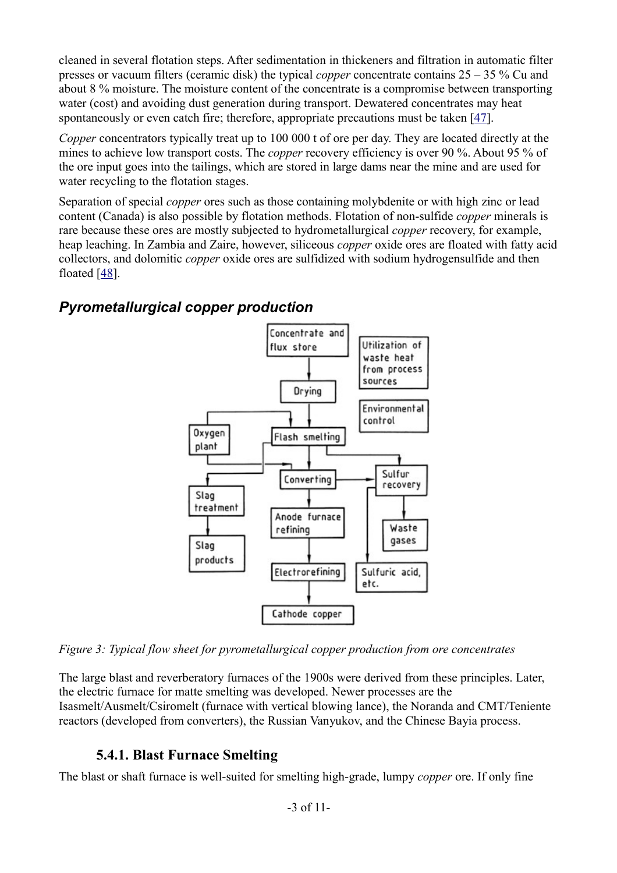cleaned in several flotation steps. After sedimentation in thickeners and filtration in automatic filter presses or vacuum filters (ceramic disk) the typical *copper* concentrate contains 25 – 35 % Cu and about 8 % moisture. The moisture content of the concentrate is a compromise between transporting water (cost) and avoiding dust generation during transport. Dewatered concentrates may heat spontaneously or even catch fire; therefore, appropriate precautions must be taken [\[47\]](http://mrw.interscience.wiley.com/emrw/9783527306732/ueic/article/a07_471/current/html?hd=All,copper#a07_471-bib-0048).

*Copper* concentrators typically treat up to 100 000 t of ore per day. They are located directly at the mines to achieve low transport costs. The *copper* recovery efficiency is over 90 %. About 95 % of the ore input goes into the tailings, which are stored in large dams near the mine and are used for water recycling to the flotation stages.

Separation of special *copper* ores such as those containing molybdenite or with high zinc or lead content (Canada) is also possible by flotation methods. Flotation of non-sulfide *copper* minerals is rare because these ores are mostly subjected to hydrometallurgical *copper* recovery, for example, heap leaching. In Zambia and Zaire, however, siliceous *copper* oxide ores are floated with fatty acid collectors, and dolomitic *copper* oxide ores are sulfidized with sodium hydrogensulfide and then floated [\[48\]](http://mrw.interscience.wiley.com/emrw/9783527306732/ueic/article/a07_471/current/html?hd=All,copper#a07_471-bib-0049).

### *Pyrometallurgical copper production*



*Figure 3: Typical flow sheet for pyrometallurgical copper production from ore concentrates*

The large blast and reverberatory furnaces of the 1900s were derived from these principles. Later, the electric furnace for matte smelting was developed. Newer processes are the Isasmelt/Ausmelt/Csiromelt (furnace with vertical blowing lance), the Noranda and CMT/Teniente reactors (developed from converters), the Russian Vanyukov, and the Chinese Bayia process.

### **5.4.1. Blast Furnace Smelting**

The blast or shaft furnace is well-suited for smelting high-grade, lumpy *copper* ore. If only fine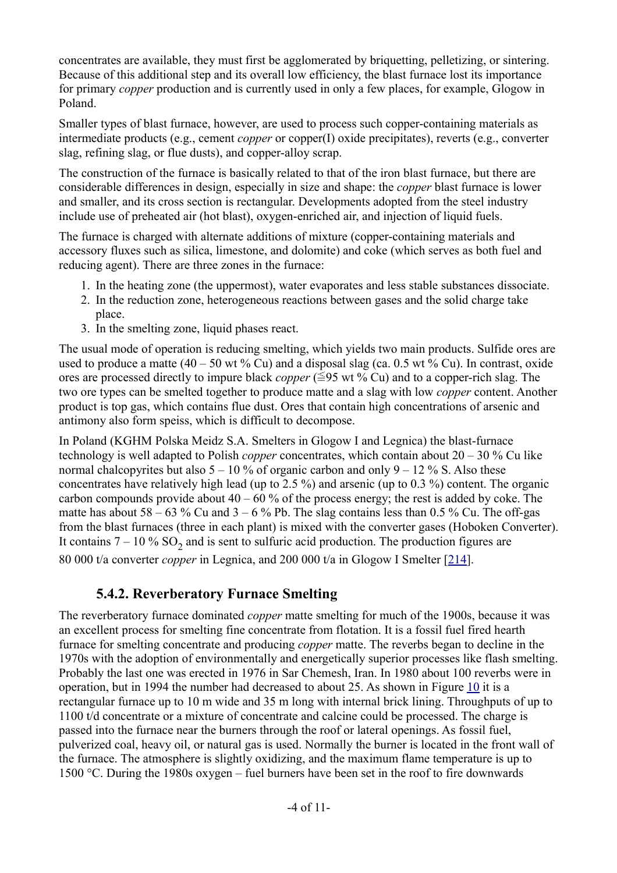concentrates are available, they must first be agglomerated by briquetting, pelletizing, or sintering. Because of this additional step and its overall low efficiency, the blast furnace lost its importance for primary *copper* production and is currently used in only a few places, for example, Glogow in Poland.

Smaller types of blast furnace, however, are used to process such copper-containing materials as intermediate products (e.g., cement *copper* or copper(I) oxide precipitates), reverts (e.g., converter slag, refining slag, or flue dusts), and copper-alloy scrap.

The construction of the furnace is basically related to that of the iron blast furnace, but there are considerable differences in design, especially in size and shape: the *copper* blast furnace is lower and smaller, and its cross section is rectangular. Developments adopted from the steel industry include use of preheated air (hot blast), oxygen-enriched air, and injection of liquid fuels.

The furnace is charged with alternate additions of mixture (copper-containing materials and accessory fluxes such as silica, limestone, and dolomite) and coke (which serves as both fuel and reducing agent). There are three zones in the furnace:

- 1. In the heating zone (the uppermost), water evaporates and less stable substances dissociate.
- 2. In the reduction zone, heterogeneous reactions between gases and the solid charge take place.
- 3. In the smelting zone, liquid phases react.

The usual mode of operation is reducing smelting, which yields two main products. Sulfide ores are used to produce a matte  $(40 - 50 \text{ wt } \% \text{ Cu})$  and a disposal slag (ca. 0.5 wt % Cu). In contrast, oxide ores are processed directly to impure black *copper* ( $\leq$ 95 wt % Cu) and to a copper-rich slag. The two ore types can be smelted together to produce matte and a slag with low *copper* content. Another product is top gas, which contains flue dust. Ores that contain high concentrations of arsenic and antimony also form speiss, which is difficult to decompose.

In Poland (KGHM Polska Meidz S.A. Smelters in Glogow I and Legnica) the blast-furnace technology is well adapted to Polish *copper* concentrates, which contain about 20 – 30 % Cu like normal chalcopyrites but also  $5 - 10\%$  of organic carbon and only  $9 - 12\%$  S. Also these concentrates have relatively high lead (up to 2.5 %) and arsenic (up to 0.3 %) content. The organic carbon compounds provide about  $40 - 60$  % of the process energy; the rest is added by coke. The matte has about  $58 - 63$  % Cu and  $3 - 6$  % Pb. The slag contains less than 0.5 % Cu. The off-gas from the blast furnaces (three in each plant) is mixed with the converter gases (Hoboken Converter). It contains  $7 - 10\%$  SO<sub>2</sub> and is sent to sulfuric acid production. The production figures are 80 000 t/a converter *copper* in Legnica, and 200 000 t/a in Glogow I Smelter [\[214\]](http://mrw.interscience.wiley.com/emrw/9783527306732/ueic/article/a07_471/current/html?hd=All,copper#a07_471-bib-0224).

### **5.4.2. Reverberatory Furnace Smelting**

The reverberatory furnace dominated *copper* matte smelting for much of the 1900s, because it was an excellent process for smelting fine concentrate from flotation. It is a fossil fuel fired hearth furnace for smelting concentrate and producing *copper* matte. The reverbs began to decline in the 1970s with the adoption of environmentally and energetically superior processes like flash smelting. Probably the last one was erected in 1976 in Sar Chemesh, Iran. In 1980 about 100 reverbs were in operation, but in 1994 the number had decreased to about 25. As shown in Figure [10](http://mrw.interscience.wiley.com/emrw/9783527306732/ueic/article/a07_471/current/html?hd=All,copper#a07_471-fig-0010) it is a rectangular furnace up to 10 m wide and 35 m long with internal brick lining. Throughputs of up to 1100 t/d concentrate or a mixture of concentrate and calcine could be processed. The charge is passed into the furnace near the burners through the roof or lateral openings. As fossil fuel, pulverized coal, heavy oil, or natural gas is used. Normally the burner is located in the front wall of the furnace. The atmosphere is slightly oxidizing, and the maximum flame temperature is up to 1500 °C. During the 1980s oxygen – fuel burners have been set in the roof to fire downwards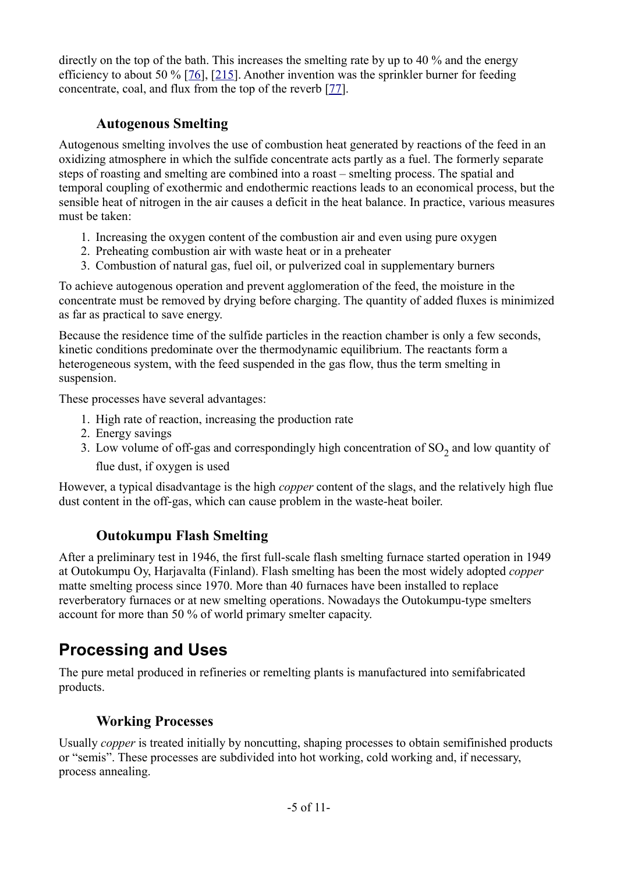directly on the top of the bath. This increases the smelting rate by up to 40 % and the energy efficiency to about 50 % [\[76\]](http://mrw.interscience.wiley.com/emrw/9783527306732/ueic/article/a07_471/current/html?hd=All,copper#a07_471-bib-0079), [\[215\]](http://mrw.interscience.wiley.com/emrw/9783527306732/ueic/article/a07_471/current/html?hd=All,copper#a07_471-bib-0225). Another invention was the sprinkler burner for feeding concentrate, coal, and flux from the top of the reverb [\[77\]](http://mrw.interscience.wiley.com/emrw/9783527306732/ueic/article/a07_471/current/html?hd=All,copper#a07_471-bib-0080).

### **Autogenous Smelting**

Autogenous smelting involves the use of combustion heat generated by reactions of the feed in an oxidizing atmosphere in which the sulfide concentrate acts partly as a fuel. The formerly separate steps of roasting and smelting are combined into a roast – smelting process. The spatial and temporal coupling of exothermic and endothermic reactions leads to an economical process, but the sensible heat of nitrogen in the air causes a deficit in the heat balance. In practice, various measures must be taken:

- 1. Increasing the oxygen content of the combustion air and even using pure oxygen
- 2. Preheating combustion air with waste heat or in a preheater
- 3. Combustion of natural gas, fuel oil, or pulverized coal in supplementary burners

To achieve autogenous operation and prevent agglomeration of the feed, the moisture in the concentrate must be removed by drying before charging. The quantity of added fluxes is minimized as far as practical to save energy.

Because the residence time of the sulfide particles in the reaction chamber is only a few seconds, kinetic conditions predominate over the thermodynamic equilibrium. The reactants form a heterogeneous system, with the feed suspended in the gas flow, thus the term smelting in suspension.

These processes have several advantages:

- 1. High rate of reaction, increasing the production rate
- 2. Energy savings
- 3. Low volume of off-gas and correspondingly high concentration of  $SO_2$  and low quantity of flue dust, if oxygen is used

However, a typical disadvantage is the high *copper* content of the slags, and the relatively high flue dust content in the off-gas, which can cause problem in the waste-heat boiler.

## **Outokumpu Flash Smelting**

After a preliminary test in 1946, the first full-scale flash smelting furnace started operation in 1949 at Outokumpu Oy, Harjavalta (Finland). Flash smelting has been the most widely adopted *copper* matte smelting process since 1970. More than 40 furnaces have been installed to replace reverberatory furnaces or at new smelting operations. Nowadays the Outokumpu-type smelters account for more than 50 % of world primary smelter capacity.

# **Processing and Uses**

The pure metal produced in refineries or remelting plants is manufactured into semifabricated products.

## **Working Processes**

Usually *copper* is treated initially by noncutting, shaping processes to obtain semifinished products or "semis". These processes are subdivided into hot working, cold working and, if necessary, process annealing.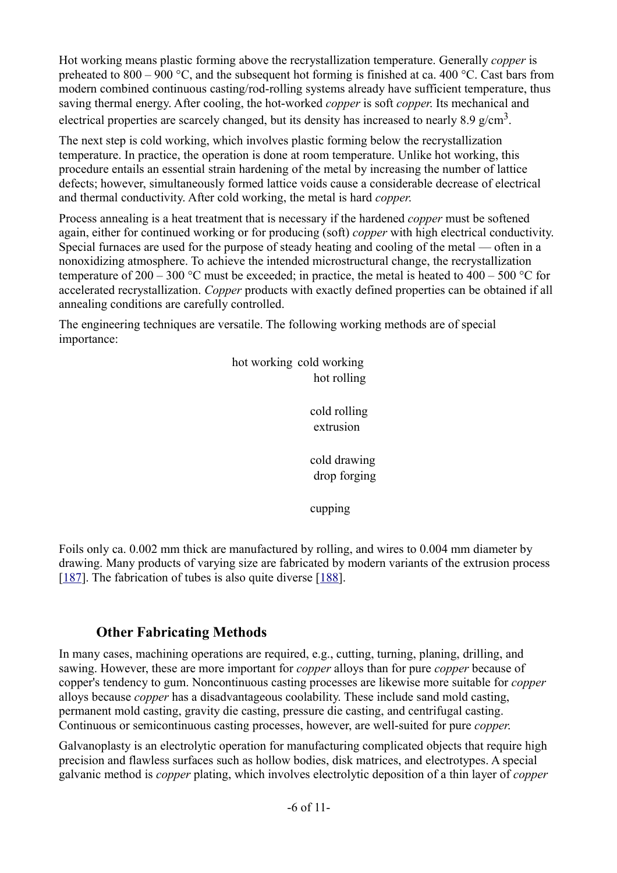Hot working means plastic forming above the recrystallization temperature. Generally *copper* is preheated to 800 – 900 °C, and the subsequent hot forming is finished at ca. 400 °C. Cast bars from modern combined continuous casting/rod-rolling systems already have sufficient temperature, thus saving thermal energy. After cooling, the hot-worked *copper* is soft *copper*. Its mechanical and electrical properties are scarcely changed, but its density has increased to nearly 8.9 g/cm<sup>3</sup>.

The next step is cold working, which involves plastic forming below the recrystallization temperature. In practice, the operation is done at room temperature. Unlike hot working, this procedure entails an essential strain hardening of the metal by increasing the number of lattice defects; however, simultaneously formed lattice voids cause a considerable decrease of electrical and thermal conductivity. After cold working, the metal is hard *copper*.

Process annealing is a heat treatment that is necessary if the hardened *copper* must be softened again, either for continued working or for producing (soft) *copper* with high electrical conductivity. Special furnaces are used for the purpose of steady heating and cooling of the metal — often in a nonoxidizing atmosphere. To achieve the intended microstructural change, the recrystallization temperature of 200 – 300 °C must be exceeded; in practice, the metal is heated to 400 – 500 °C for accelerated recrystallization. *Copper* products with exactly defined properties can be obtained if all annealing conditions are carefully controlled.

The engineering techniques are versatile. The following working methods are of special importance:

> hot working cold working hot rolling

> > cold rolling extrusion

cold drawing drop forging

cupping

Foils only ca. 0.002 mm thick are manufactured by rolling, and wires to 0.004 mm diameter by drawing. Many products of varying size are fabricated by modern variants of the extrusion process [\[187\]](http://mrw.interscience.wiley.com/emrw/9783527306732/ueic/article/a07_471/current/html?hd=All,copper#a07_471-bib-0197). The fabrication of tubes is also quite diverse [\[188\]](http://mrw.interscience.wiley.com/emrw/9783527306732/ueic/article/a07_471/current/html?hd=All,copper#a07_471-bib-0198).

### **Other Fabricating Methods**

In many cases, machining operations are required, e.g., cutting, turning, planing, drilling, and sawing. However, these are more important for *copper* alloys than for pure *copper* because of copper's tendency to gum. Noncontinuous casting processes are likewise more suitable for *copper* alloys because *copper* has a disadvantageous coolability. These include sand mold casting, permanent mold casting, gravity die casting, pressure die casting, and centrifugal casting. Continuous or semicontinuous casting processes, however, are well-suited for pure *copper*.

Galvanoplasty is an electrolytic operation for manufacturing complicated objects that require high precision and flawless surfaces such as hollow bodies, disk matrices, and electrotypes. A special galvanic method is *copper* plating, which involves electrolytic deposition of a thin layer of *copper*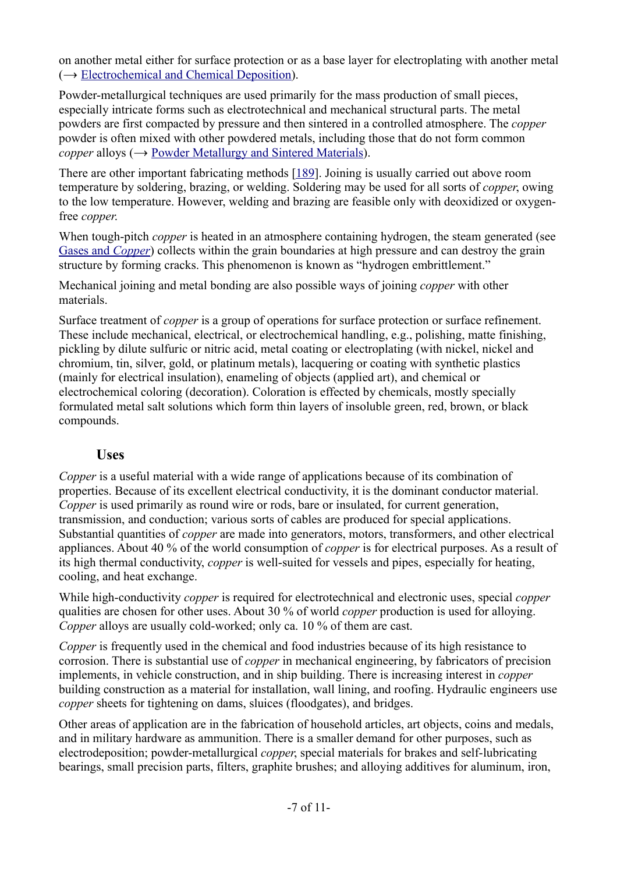on another metal either for surface protection or as a base layer for electroplating with another metal  $\rightarrow$  [Electrochemical and Chemical Deposition\)](http://mrw.interscience.wiley.com/emrw/9783527306732/ueic/article/a09_125/current/html).

Powder-metallurgical techniques are used primarily for the mass production of small pieces, especially intricate forms such as electrotechnical and mechanical structural parts. The metal powders are first compacted by pressure and then sintered in a controlled atmosphere. The *copper* powder is often mixed with other powdered metals, including those that do not form common *copper* alloys  $(\rightarrow)$  [Powder Metallurgy and Sintered Materials\)](http://mrw.interscience.wiley.com/emrw/9783527306732/ueic/article/a22_105/current/html).

There are other important fabricating methods [\[189\]](http://mrw.interscience.wiley.com/emrw/9783527306732/ueic/article/a07_471/current/html?hd=All,copper#a07_471-bib-0199). Joining is usually carried out above room temperature by soldering, brazing, or welding. Soldering may be used for all sorts of *copper*, owing to the low temperature. However, welding and brazing are feasible only with deoxidized or oxygenfree *copper*.

When tough-pitch *copper* is heated in an atmosphere containing hydrogen, the steam generated (see Gases and *[Copper](http://mrw.interscience.wiley.com/emrw/9783527306732/ueic/article/a07_471/current/html?hd=All,copper#a07_471-sec6-0011)*) collects within the grain boundaries at high pressure and can destroy the grain structure by forming cracks. This phenomenon is known as "hydrogen embrittlement."

Mechanical joining and metal bonding are also possible ways of joining *copper* with other materials.

Surface treatment of *copper* is a group of operations for surface protection or surface refinement. These include mechanical, electrical, or electrochemical handling, e.g., polishing, matte finishing, pickling by dilute sulfuric or nitric acid, metal coating or electroplating (with nickel, nickel and chromium, tin, silver, gold, or platinum metals), lacquering or coating with synthetic plastics (mainly for electrical insulation), enameling of objects (applied art), and chemical or electrochemical coloring (decoration). Coloration is effected by chemicals, mostly specially formulated metal salt solutions which form thin layers of insoluble green, red, brown, or black compounds.

### **Uses**

*Copper* is a useful material with a wide range of applications because of its combination of properties. Because of its excellent electrical conductivity, it is the dominant conductor material. *Copper* is used primarily as round wire or rods, bare or insulated, for current generation, transmission, and conduction; various sorts of cables are produced for special applications. Substantial quantities of *copper* are made into generators, motors, transformers, and other electrical appliances. About 40 % of the world consumption of *copper* is for electrical purposes. As a result of its high thermal conductivity, *copper* is well-suited for vessels and pipes, especially for heating, cooling, and heat exchange.

While high-conductivity *copper* is required for electrotechnical and electronic uses, special *copper* qualities are chosen for other uses. About 30 % of world *copper* production is used for alloying. *Copper* alloys are usually cold-worked; only ca. 10 % of them are cast.

*Copper* is frequently used in the chemical and food industries because of its high resistance to corrosion. There is substantial use of *copper* in mechanical engineering, by fabricators of precision implements, in vehicle construction, and in ship building. There is increasing interest in *copper* building construction as a material for installation, wall lining, and roofing. Hydraulic engineers use *copper* sheets for tightening on dams, sluices (floodgates), and bridges.

Other areas of application are in the fabrication of household articles, art objects, coins and medals, and in military hardware as ammunition. There is a smaller demand for other purposes, such as electrodeposition; powder-metallurgical *copper*, special materials for brakes and self-lubricating bearings, small precision parts, filters, graphite brushes; and alloying additives for aluminum, iron,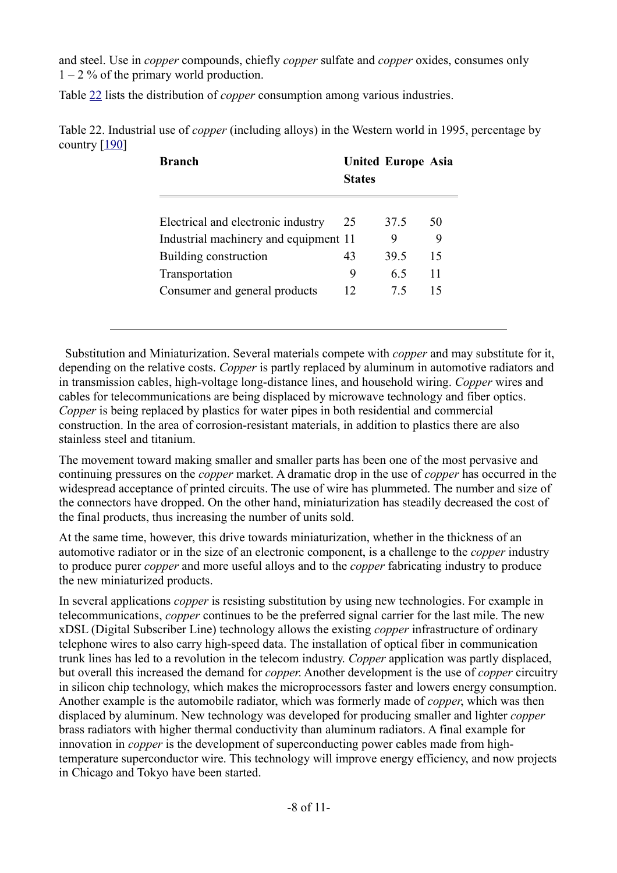and steel. Use in *copper* compounds, chiefly *copper* sulfate and *copper* oxides, consumes only  $1 - 2\%$  of the primary world production.

Table [22](http://mrw.interscience.wiley.com/emrw/9783527306732/ueic/article/a07_471/current/html?hd=All,copper#a07_471-tbl-0019) lists the distribution of *copper* consumption among various industries.

Table 22. Industrial use of *copper* (including alloys) in the Western world in 1995, percentage by country  $[190]$ 

| <b>Branch</b>                         | <b>States</b> | <b>United Europe Asia</b> |    |
|---------------------------------------|---------------|---------------------------|----|
| Electrical and electronic industry    | 25            | 37.5                      | 50 |
| Industrial machinery and equipment 11 |               | 9                         |    |
| Building construction                 | 43            | 39.5                      | 15 |
| Transportation                        | 9             | 65                        | 11 |
| Consumer and general products         | 12            | 75                        | 15 |

 Substitution and Miniaturization. Several materials compete with *copper* and may substitute for it, depending on the relative costs. *Copper* is partly replaced by aluminum in automotive radiators and in transmission cables, high-voltage long-distance lines, and household wiring. *Copper* wires and cables for telecommunications are being displaced by microwave technology and fiber optics. *Copper* is being replaced by plastics for water pipes in both residential and commercial construction. In the area of corrosion-resistant materials, in addition to plastics there are also stainless steel and titanium.

The movement toward making smaller and smaller parts has been one of the most pervasive and continuing pressures on the *copper* market. A dramatic drop in the use of *copper* has occurred in the widespread acceptance of printed circuits. The use of wire has plummeted. The number and size of the connectors have dropped. On the other hand, miniaturization has steadily decreased the cost of the final products, thus increasing the number of units sold.

At the same time, however, this drive towards miniaturization, whether in the thickness of an automotive radiator or in the size of an electronic component, is a challenge to the *copper* industry to produce purer *copper* and more useful alloys and to the *copper* fabricating industry to produce the new miniaturized products.

In several applications *copper* is resisting substitution by using new technologies. For example in telecommunications, *copper* continues to be the preferred signal carrier for the last mile. The new xDSL (Digital Subscriber Line) technology allows the existing *copper* infrastructure of ordinary telephone wires to also carry high-speed data. The installation of optical fiber in communication trunk lines has led to a revolution in the telecom industry. *Copper* application was partly displaced, but overall this increased the demand for *copper*. Another development is the use of *copper* circuitry in silicon chip technology, which makes the microprocessors faster and lowers energy consumption. Another example is the automobile radiator, which was formerly made of *copper*, which was then displaced by aluminum. New technology was developed for producing smaller and lighter *copper* brass radiators with higher thermal conductivity than aluminum radiators. A final example for innovation in *copper* is the development of superconducting power cables made from hightemperature superconductor wire. This technology will improve energy efficiency, and now projects in Chicago and Tokyo have been started.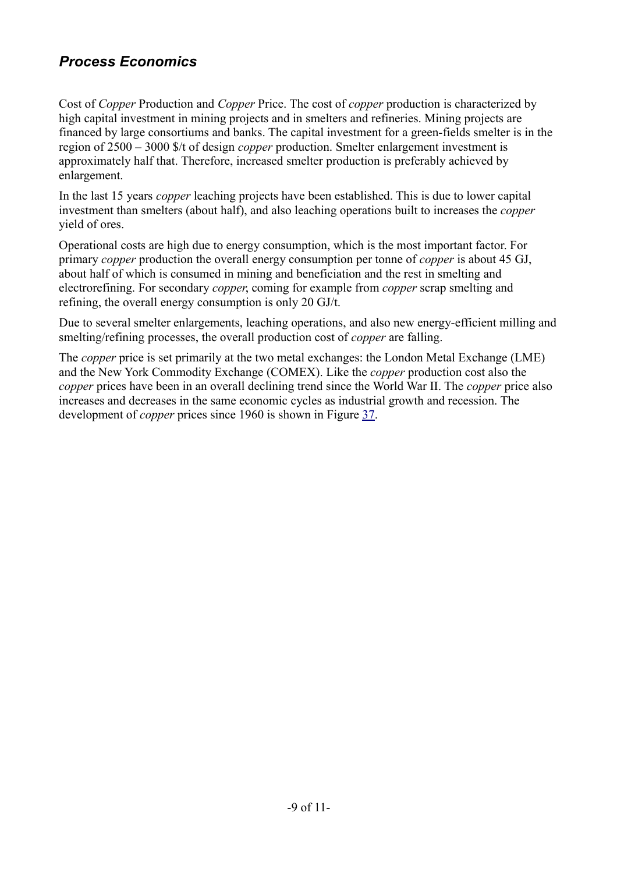## *Process Economics*

Cost of *Copper* Production and *Copper* Price. The cost of *copper* production is characterized by high capital investment in mining projects and in smelters and refineries. Mining projects are financed by large consortiums and banks. The capital investment for a green-fields smelter is in the region of 2500 – 3000 \$/t of design *copper* production. Smelter enlargement investment is approximately half that. Therefore, increased smelter production is preferably achieved by enlargement.

In the last 15 years *copper* leaching projects have been established. This is due to lower capital investment than smelters (about half), and also leaching operations built to increases the *copper* yield of ores.

Operational costs are high due to energy consumption, which is the most important factor. For primary *copper* production the overall energy consumption per tonne of *copper* is about 45 GJ, about half of which is consumed in mining and beneficiation and the rest in smelting and electrorefining. For secondary *copper*, coming for example from *copper* scrap smelting and refining, the overall energy consumption is only 20 GJ/t.

Due to several smelter enlargements, leaching operations, and also new energy-efficient milling and smelting/refining processes, the overall production cost of *copper* are falling.

The *copper* price is set primarily at the two metal exchanges: the London Metal Exchange (LME) and the New York Commodity Exchange (COMEX). Like the *copper* production cost also the *copper* prices have been in an overall declining trend since the World War II. The *copper* price also increases and decreases in the same economic cycles as industrial growth and recession. The development of *copper* prices since 1960 is shown in Figure [37.](http://mrw.interscience.wiley.com/emrw/9783527306732/ueic/article/a07_471/current/html?hd=All,copper#a07_471-fig-0027)